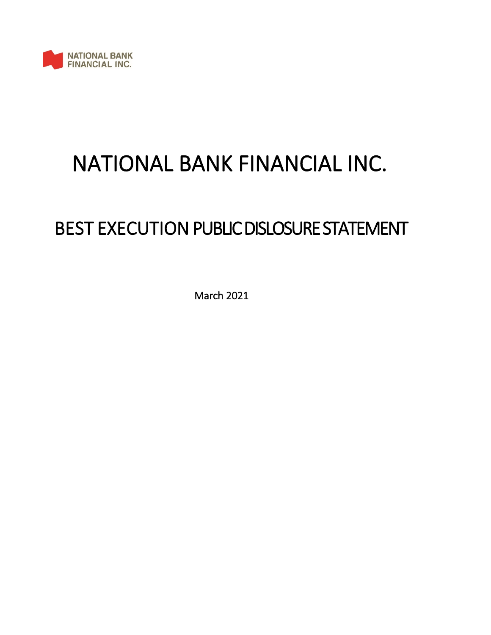

# NATIONAL BANK FINANCIAL INC.

## BEST EXECUTION PUBLIC DISLOSURE STATEMENT

March 2021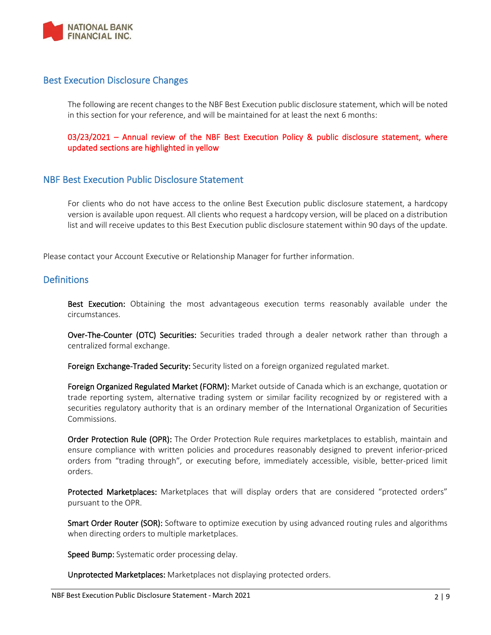

## Best Execution Disclosure Changes

The following are recent changes to the NBF Best Execution public disclosure statement, which will be noted in this section for your reference, and will be maintained for at least the next 6 months:

03/23/2021 – Annual review of the NBF Best Execution Policy & public disclosure statement, where updated sections are highlighted in yellow

## NBF Best Execution Public Disclosure Statement

For clients who do not have access to the online Best Execution public disclosure statement, a hardcopy version is available upon request. All clients who request a hardcopy version, will be placed on a distribution list and will receive updates to this Best Execution public disclosure statement within 90 days of the update.

Please contact your Account Executive or Relationship Manager for further information.

## **Definitions**

Best Execution: Obtaining the most advantageous execution terms reasonably available under the circumstances.

Over-The-Counter (OTC) Securities: Securities traded through a dealer network rather than through a centralized formal exchange.

Foreign Exchange-Traded Security: Security listed on a foreign organized regulated market.

Foreign Organized Regulated Market (FORM): Market outside of Canada which is an exchange, quotation or trade reporting system, alternative trading system or similar facility recognized by or registered with a securities regulatory authority that is an ordinary member of the International Organization of Securities Commissions.

Order Protection Rule (OPR): The Order Protection Rule requires marketplaces to establish, maintain and ensure compliance with written policies and procedures reasonably designed to prevent inferior-priced orders from "trading through", or executing before, immediately accessible, visible, better-priced limit orders.

Protected Marketplaces: Marketplaces that will display orders that are considered "protected orders" pursuant to the OPR.

Smart Order Router (SOR): Software to optimize execution by using advanced routing rules and algorithms when directing orders to multiple marketplaces.

Speed Bump: Systematic order processing delay.

Unprotected Marketplaces: Marketplaces not displaying protected orders.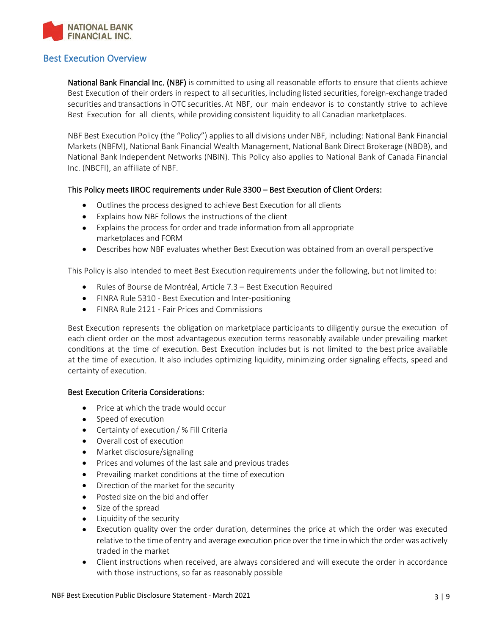

## Best Execution Overview

National Bank Financial Inc. (NBF) is committed to using all reasonable efforts to ensure that clients achieve Best Execution of their orders in respect to all securities, including listed securities, foreign-exchange traded securities and transactions in OTC securities. At NBF, our main endeavor is to constantly strive to achieve Best Execution for all clients, while providing consistent liquidity to all Canadian marketplaces.

NBF Best Execution Policy (the "Policy") applies to all divisions under NBF, including: National Bank Financial Markets (NBFM), National Bank Financial Wealth Management, National Bank Direct Brokerage (NBDB), and National Bank Independent Networks (NBIN). This Policy also applies to National Bank of Canada Financial Inc. (NBCFI), an affiliate of NBF.

#### This Policy meets IIROC requirements under Rule 3300 – Best Execution of Client Orders:

- Outlines the process designed to achieve Best Execution for all clients
- Explains how NBF follows the instructions of the client
- Explains the process for order and trade information from all appropriate marketplaces and FORM
- Describes how NBF evaluates whether Best Execution was obtained from an overall perspective

This Policy is also intended to meet Best Execution requirements under the following, but not limited to:

- Rules of Bourse de Montréal, Article 7.3 Best Execution Required
- FINRA Rule 5310 Best Execution and Inter-positioning
- FINRA Rule 2121 Fair Prices and Commissions

Best Execution represents the obligation on marketplace participants to diligently pursue the execution of each client order on the most advantageous execution terms reasonably available under prevailing market conditions at the time of execution. Best Execution includes but is not limited to the best price available at the time of execution. It also includes optimizing liquidity, minimizing order signaling effects, speed and certainty of execution.

#### Best Execution Criteria Considerations:

- Price at which the trade would occur
- Speed of execution
- Certainty of execution / % Fill Criteria
- Overall cost of execution
- Market disclosure/signaling
- Prices and volumes of the last sale and previous trades
- Prevailing market conditions at the time of execution
- Direction of the market for the security
- Posted size on the bid and offer
- Size of the spread
- Liquidity of the security
- Execution quality over the order duration, determines the price at which the order was executed relative to the time of entry and average execution price over the time in which the order was actively traded in the market
- Client instructions when received, are always considered and will execute the order in accordance with those instructions, so far as reasonably possible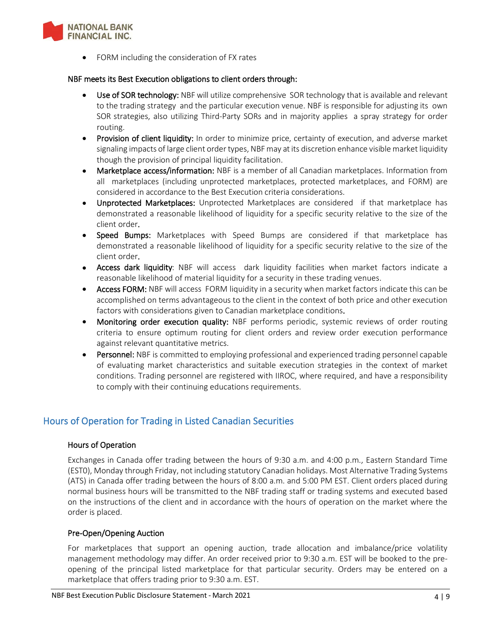

• FORM including the consideration of FX rates

#### NBF meets its Best Execution obligations to client orders through:

- Use of SOR technology: NBF will utilize comprehensive SOR technology that is available and relevant to the trading strategy and the particular execution venue. NBF is responsible for adjusting its own SOR strategies, also utilizing Third-Party SORs and in majority applies a spray strategy for order routing.
- Provision of client liquidity: In order to minimize price, certainty of execution, and adverse market signaling impacts of large client order types, NBF may at its discretion enhance visible market liquidity though the provision of principal liquidity facilitation.
- Marketplace access/information: NBF is a member of all Canadian marketplaces. Information from all marketplaces (including unprotected marketplaces, protected marketplaces, and FORM) are considered in accordance to the Best Execution criteria considerations.
- Unprotected Marketplaces: Unprotected Marketplaces are considered if that marketplace has demonstrated a reasonable likelihood of liquidity for a specific security relative to the size of the client order.
- Speed Bumps: Marketplaces with Speed Bumps are considered if that marketplace has demonstrated a reasonable likelihood of liquidity for a specific security relative to the size of the client order.
- Access dark liquidity: NBF will access dark liquidity facilities when market factors indicate a reasonable likelihood of material liquidity for a security in these trading venues.
- Access FORM: NBF will access FORM liquidity in a security when market factors indicate this can be accomplished on terms advantageous to the client in the context of both price and other execution factors with considerations given to Canadian marketplace conditions.
- Monitoring order execution quality: NBF performs periodic, systemic reviews of order routing criteria to ensure optimum routing for client orders and review order execution performance against relevant quantitative metrics.
- Personnel: NBF is committed to employing professional and experienced trading personnel capable of evaluating market characteristics and suitable execution strategies in the context of market conditions. Trading personnel are registered with IIROC, where required, and have a responsibility to comply with their continuing educations requirements.

## Hours of Operation for Trading in Listed Canadian Securities

#### Hours of Operation

Exchanges in Canada offer trading between the hours of 9:30 a.m. and 4:00 p.m., Eastern Standard Time (EST0), Monday through Friday, not including statutory Canadian holidays. Most Alternative Trading Systems (ATS) in Canada offer trading between the hours of 8:00 a.m. and 5:00 PM EST. Client orders placed during normal business hours will be transmitted to the NBF trading staff or trading systems and executed based on the instructions of the client and in accordance with the hours of operation on the market where the order is placed.

#### Pre-Open/Opening Auction

For marketplaces that support an opening auction, trade allocation and imbalance/price volatility management methodology may differ. An order received prior to 9:30 a.m. EST will be booked to the preopening of the principal listed marketplace for that particular security. Orders may be entered on a marketplace that offers trading prior to 9:30 a.m. EST.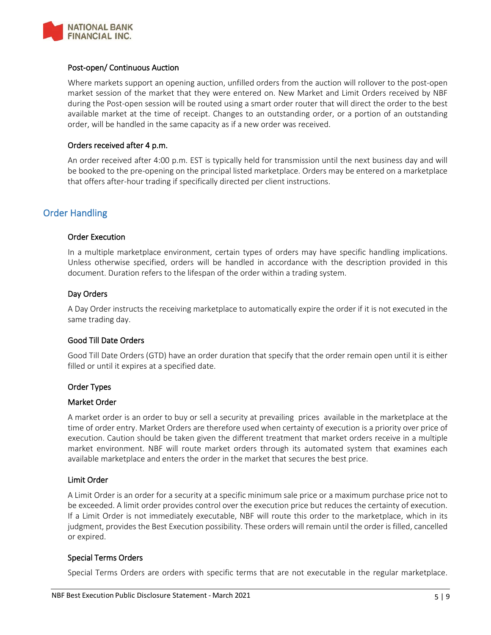

#### Post-open/ Continuous Auction

Where markets support an opening auction, unfilled orders from the auction will rollover to the post-open market session of the market that they were entered on. New Market and Limit Orders received by NBF during the Post-open session will be routed using a smart order router that will direct the order to the best available market at the time of receipt. Changes to an outstanding order, or a portion of an outstanding order, will be handled in the same capacity as if a new order was received.

#### Orders received after 4 p.m.

An order received after 4:00 p.m. EST is typically held for transmission until the next business day and will be booked to the pre-opening on the principal listed marketplace. Orders may be entered on a marketplace that offers after-hour trading if specifically directed per client instructions.

## Order Handling

#### Order Execution

In a multiple marketplace environment, certain types of orders may have specific handling implications. Unless otherwise specified, orders will be handled in accordance with the description provided in this document. Duration refers to the lifespan of the order within a trading system.

#### Day Orders

A Day Order instructs the receiving marketplace to automatically expire the order if it is not executed in the same trading day.

#### Good Till Date Orders

Good Till Date Orders (GTD) have an order duration that specify that the order remain open until it is either filled or until it expires at a specified date.

#### Order Types

#### Market Order

A market order is an order to buy or sell a security at prevailing prices available in the marketplace at the time of order entry. Market Orders are therefore used when certainty of execution is a priority over price of execution. Caution should be taken given the different treatment that market orders receive in a multiple market environment. NBF will route market orders through its automated system that examines each available marketplace and enters the order in the market that secures the best price.

#### Limit Order

A Limit Order is an order for a security at a specific minimum sale price or a maximum purchase price not to be exceeded. A limit order provides control over the execution price but reduces the certainty of execution. If a Limit Order is not immediately executable, NBF will route this order to the marketplace, which in its judgment, provides the Best Execution possibility. These orders will remain until the order is filled, cancelled or expired.

#### Special Terms Orders

Special Terms Orders are orders with specific terms that are not executable in the regular marketplace.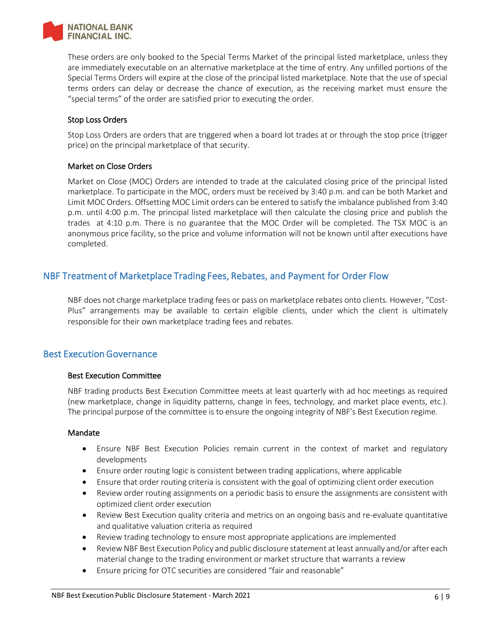

These orders are only booked to the Special Terms Market of the principal listed marketplace, unless they are immediately executable on an alternative marketplace at the time of entry. Any unfilled portions of the Special Terms Orders will expire at the close of the principal listed marketplace. Note that the use of special terms orders can delay or decrease the chance of execution, as the receiving market must ensure the "special terms" of the order are satisfied prior to executing the order.

#### Stop Loss Orders

Stop Loss Orders are orders that are triggered when a board lot trades at or through the stop price (trigger price) on the principal marketplace of that security.

#### Market on Close Orders

Market on Close (MOC) Orders are intended to trade at the calculated closing price of the principal listed marketplace. To participate in the MOC, orders must be received by 3:40 p.m. and can be both Market and Limit MOC Orders. Offsetting MOC Limit orders can be entered to satisfy the imbalance published from 3:40 p.m. until 4:00 p.m. The principal listed marketplace will then calculate the closing price and publish the trades at 4:10 p.m. There is no guarantee that the MOC Order will be completed. The TSX MOC is an anonymous price facility, so the price and volume information will not be known until after executions have completed.

## NBF Treatment of Marketplace Trading Fees, Rebates, and Payment for Order Flow

NBF does not charge marketplace trading fees or pass on marketplace rebates onto clients. However, "Cost-Plus" arrangements may be available to certain eligible clients, under which the client is ultimately responsible for their own marketplace trading fees and rebates.

## Best Execution Governance

#### Best Execution Committee

NBF trading products Best Execution Committee meets at least quarterly with ad hoc meetings as required (new marketplace, change in liquidity patterns, change in fees, technology, and market place events, etc.). The principal purpose of the committee is to ensure the ongoing integrity of NBF's Best Execution regime.

#### Mandate

- Ensure NBF Best Execution Policies remain current in the context of market and regulatory developments
- Ensure order routing logic is consistent between trading applications, where applicable
- Ensure that order routing criteria is consistent with the goal of optimizing client order execution
- Review order routing assignments on a periodic basis to ensure the assignments are consistent with optimized client order execution
- Review Best Execution quality criteria and metrics on an ongoing basis and re-evaluate quantitative and qualitative valuation criteria as required
- Review trading technology to ensure most appropriate applications are implemented
- Review NBF Best Execution Policy and public disclosure statement at least annually and/or after each material change to the trading environment or market structure that warrants a review
- Ensure pricing for OTC securities are considered "fair and reasonable"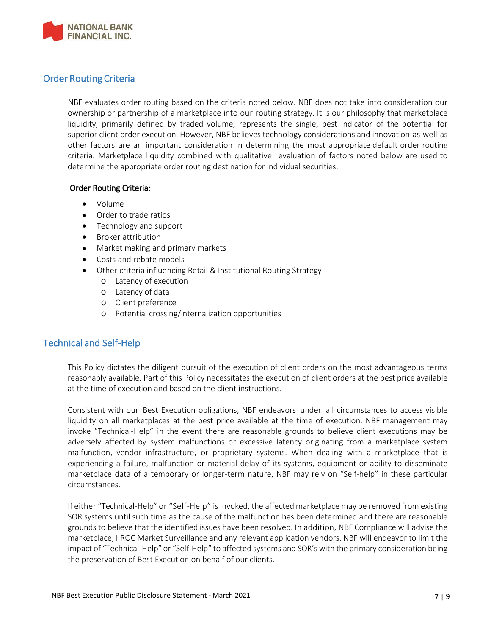

## Order Routing Criteria

NBF evaluates order routing based on the criteria noted below. NBF does not take into consideration our ownership or partnership of a marketplace into our routing strategy. It is our philosophy that marketplace liquidity, primarily defined by traded volume, represents the single, best indicator of the potential for superior client order execution. However, NBF believes technology considerations and innovation as well as other factors are an important consideration in determining the most appropriate default order routing criteria. Marketplace liquidity combined with qualitative evaluation of factors noted below are used to determine the appropriate order routing destination for individual securities.

#### Order Routing Criteria:

- Volume
- Order to trade ratios
- Technology and support
- Broker attribution
- Market making and primary markets
- Costs and rebate models
- Other criteria influencing Retail & Institutional Routing Strategy
	- o Latency of execution
	- o Latency of data
	- o Client preference
	- o Potential crossing/internalization opportunities

## Technical and Self-Help

This Policy dictates the diligent pursuit of the execution of client orders on the most advantageous terms reasonably available. Part of this Policy necessitates the execution of client orders at the best price available at the time of execution and based on the client instructions.

Consistent with our Best Execution obligations, NBF endeavors under all circumstances to access visible liquidity on all marketplaces at the best price available at the time of execution. NBF management may invoke "Technical-Help" in the event there are reasonable grounds to believe client executions may be adversely affected by system malfunctions or excessive latency originating from a marketplace system malfunction, vendor infrastructure, or proprietary systems. When dealing with a marketplace that is experiencing a failure, malfunction or material delay of its systems, equipment or ability to disseminate marketplace data of a temporary or longer-term nature, NBF may rely on "Self-help" in these particular circumstances.

If either "Technical-Help" or "Self-Help" isinvoked, the affected marketplace may be removed from existing SOR systems until such time as the cause of the malfunction has been determined and there are reasonable grounds to believe that the identified issues have been resolved. In addition, NBF Compliance will advise the marketplace, IIROC Market Surveillance and any relevant application vendors. NBF will endeavor to limit the impact of "Technical-Help" or "Self-Help" to affected systems and SOR's with the primary consideration being the preservation of Best Execution on behalf of our clients.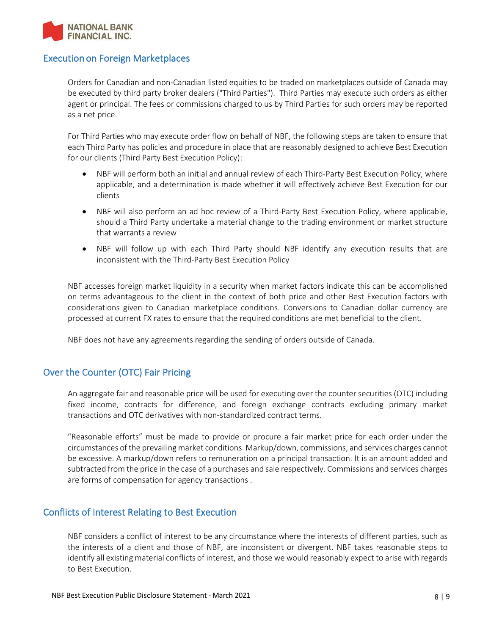

## Execution on Foreign Marketplaces

Orders for Canadian and non-Canadian listed equities to be traded on marketplaces outside of Canada may be executed by third party broker dealers ("Third Parties"). Third Parties may execute such orders as either agent or principal. The fees or commissions charged to us by Third Parties for such orders may be reported as a net price.

For Third Parties who may execute order flow on behalf of NBF, the following steps are taken to ensure that each Third Party has policies and procedure in place that are reasonably designed to achieve Best Execution for our clients (Third Party Best Execution Policy):

- NBF will perform both an initial and annual review of each Third-Party Best Execution Policy, where applicable, and a determination is made whether it will effectively achieve Best Execution for our clients
- NBF will also perform an ad hoc review of a Third-Party Best Execution Policy, where applicable, should a Third Party undertake a material change to the trading environment or market structure that warrants a review
- NBF will follow up with each Third Party should NBF identify any execution results that are inconsistent with the Third-Party Best Execution Policy

NBF accesses foreign market liquidity in a security when market factors indicate this can be accomplished on terms advantageous to the client in the context of both price and other Best Execution factors with considerations given to Canadian marketplace conditions. Conversions to Canadian dollar currency are processed at current FX rates to ensure that the required conditions are met beneficial to the client.

NBF does not have any agreements regarding the sending of orders outside of Canada.

## Over the Counter (OTC) Fair Pricing

An aggregate fair and reasonable price will be used for executing over the counter securities (OTC) including fixed income, contracts for difference, and foreign exchange contracts excluding primary market transactions and OTC derivatives with non-standardized contract terms.

"Reasonable efforts" must be made to provide or procure a fair market price for each order under the circumstances of the prevailing market conditions. Markup/down, commissions, and services charges cannot be excessive. A markup/down refers to remuneration on a principal transaction. It is an amount added and subtracted from the price in the case of a purchases and sale respectively. Commissions and services charges are forms of compensation for agency transactions .

## Conflicts of Interest Relating to Best Execution

NBF considers a conflict of interest to be any circumstance where the interests of different parties, such as the interests of a client and those of NBF, are inconsistent or divergent. NBF takes reasonable steps to identify all existing material conflicts of interest, and those we would reasonably expect to arise with regards to Best Execution.